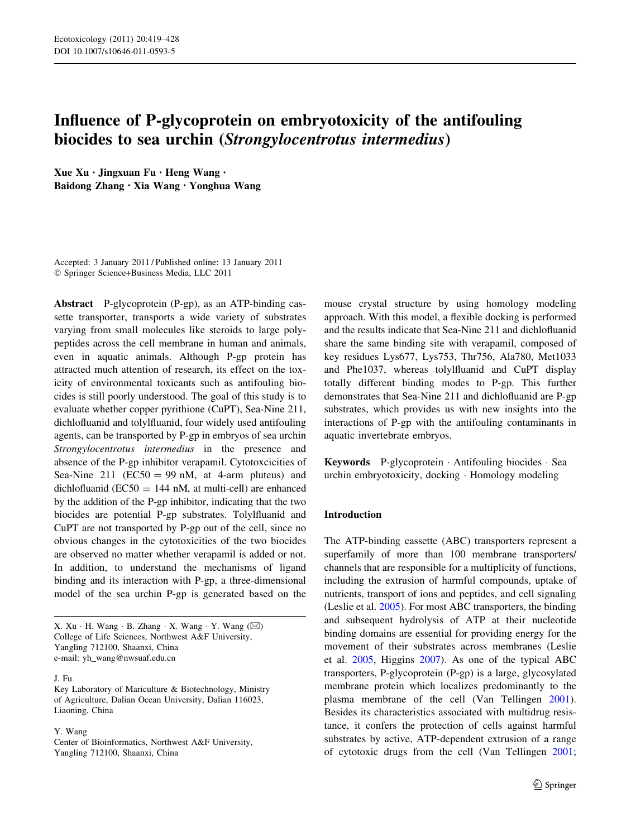# Influence of P-glycoprotein on embryotoxicity of the antifouling biocides to sea urchin (Strongylocentrotus intermedius)

Xue Xu • Jingxuan Fu • Heng Wang • Baidong Zhang • Xia Wang • Yonghua Wang

Accepted: 3 January 2011 / Published online: 13 January 2011 - Springer Science+Business Media, LLC 2011

Abstract P-glycoprotein (P-gp), as an ATP-binding cassette transporter, transports a wide variety of substrates varying from small molecules like steroids to large polypeptides across the cell membrane in human and animals, even in aquatic animals. Although P-gp protein has attracted much attention of research, its effect on the toxicity of environmental toxicants such as antifouling biocides is still poorly understood. The goal of this study is to evaluate whether copper pyrithione (CuPT), Sea-Nine 211, dichlofluanid and tolylfluanid, four widely used antifouling agents, can be transported by P-gp in embryos of sea urchin Strongylocentrotus intermedius in the presence and absence of the P-gp inhibitor verapamil. Cytotoxcicities of Sea-Nine 211 ( $EC50 = 99$  nM, at 4-arm pluteus) and dichlofluanid ( $EC50 = 144$  nM, at multi-cell) are enhanced by the addition of the P-gp inhibitor, indicating that the two biocides are potential P-gp substrates. Tolylfluanid and CuPT are not transported by P-gp out of the cell, since no obvious changes in the cytotoxicities of the two biocides are observed no matter whether verapamil is added or not. In addition, to understand the mechanisms of ligand binding and its interaction with P-gp, a three-dimensional model of the sea urchin P-gp is generated based on the

J. Fu

Y. Wang

Center of Bioinformatics, Northwest A&F University, Yangling 712100, Shaanxi, China

mouse crystal structure by using homology modeling approach. With this model, a flexible docking is performed and the results indicate that Sea-Nine 211 and dichlofluanid share the same binding site with verapamil, composed of key residues Lys677, Lys753, Thr756, Ala780, Met1033 and Phe1037, whereas tolylfluanid and CuPT display totally different binding modes to P-gp. This further demonstrates that Sea-Nine 211 and dichlofluanid are P-gp substrates, which provides us with new insights into the interactions of P-gp with the antifouling contaminants in aquatic invertebrate embryos.

Keywords P-glycoprotein - Antifouling biocides - Sea urchin embryotoxicity, docking - Homology modeling

## Introduction

The ATP-binding cassette (ABC) transporters represent a superfamily of more than 100 membrane transporters/ channels that are responsible for a multiplicity of functions, including the extrusion of harmful compounds, uptake of nutrients, transport of ions and peptides, and cell signaling (Leslie et al. [2005](#page-9-0)). For most ABC transporters, the binding and subsequent hydrolysis of ATP at their nucleotide binding domains are essential for providing energy for the movement of their substrates across membranes (Leslie et al. [2005,](#page-9-0) Higgins [2007](#page-9-0)). As one of the typical ABC transporters, P-glycoprotein (P-gp) is a large, glycosylated membrane protein which localizes predominantly to the plasma membrane of the cell (Van Tellingen [2001](#page-9-0)). Besides its characteristics associated with multidrug resistance, it confers the protection of cells against harmful substrates by active, ATP-dependent extrusion of a range of cytotoxic drugs from the cell (Van Tellingen [2001](#page-9-0);

X. Xu · H. Wang · B. Zhang · X. Wang · Y. Wang  $(\boxtimes)$ College of Life Sciences, Northwest A&F University, Yangling 712100, Shaanxi, China e-mail: yh\_wang@nwsuaf.edu.cn

Key Laboratory of Mariculture & Biotechnology, Ministry of Agriculture, Dalian Ocean University, Dalian 116023, Liaoning, China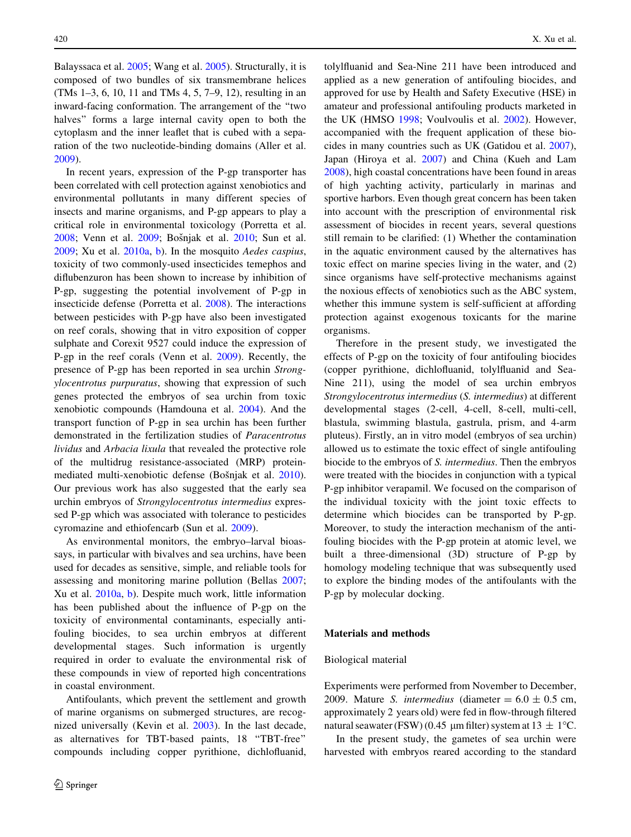Balayssaca et al. [2005](#page-8-0); Wang et al. [2005\)](#page-9-0). Structurally, it is composed of two bundles of six transmembrane helices (TMs 1–3, 6, 10, 11 and TMs 4, 5, 7–9, 12), resulting in an inward-facing conformation. The arrangement of the ''two halves" forms a large internal cavity open to both the cytoplasm and the inner leaflet that is cubed with a separation of the two nucleotide-binding domains (Aller et al. [2009\)](#page-8-0).

In recent years, expression of the P-gp transporter has been correlated with cell protection against xenobiotics and environmental pollutants in many different species of insects and marine organisms, and P-gp appears to play a critical role in environmental toxicology (Porretta et al. [2008;](#page-9-0) Venn et al. [2009](#page-9-0); Bošnjak et al. [2010](#page-8-0); Sun et al. [2009;](#page-9-0) Xu et al. [2010a](#page-9-0), [b](#page-9-0)). In the mosquito Aedes caspius, toxicity of two commonly-used insecticides temephos and diflubenzuron has been shown to increase by inhibition of P-gp, suggesting the potential involvement of P-gp in insecticide defense (Porretta et al. [2008\)](#page-9-0). The interactions between pesticides with P-gp have also been investigated on reef corals, showing that in vitro exposition of copper sulphate and Corexit 9527 could induce the expression of P-gp in the reef corals (Venn et al. [2009\)](#page-9-0). Recently, the presence of P-gp has been reported in sea urchin Strongylocentrotus purpuratus, showing that expression of such genes protected the embryos of sea urchin from toxic xenobiotic compounds (Hamdouna et al. [2004](#page-8-0)). And the transport function of P-gp in sea urchin has been further demonstrated in the fertilization studies of Paracentrotus lividus and Arbacia lixula that revealed the protective role of the multidrug resistance-associated (MRP) protein-mediated multi-xenobiotic defense (Bošnjak et al. [2010](#page-8-0)). Our previous work has also suggested that the early sea urchin embryos of Strongylocentrotus intermedius expressed P-gp which was associated with tolerance to pesticides cyromazine and ethiofencarb (Sun et al. [2009](#page-9-0)).

As environmental monitors, the embryo–larval bioassays, in particular with bivalves and sea urchins, have been used for decades as sensitive, simple, and reliable tools for assessing and monitoring marine pollution (Bellas [2007](#page-8-0); Xu et al. [2010a,](#page-9-0) [b](#page-9-0)). Despite much work, little information has been published about the influence of P-gp on the toxicity of environmental contaminants, especially antifouling biocides, to sea urchin embryos at different developmental stages. Such information is urgently required in order to evaluate the environmental risk of these compounds in view of reported high concentrations in coastal environment.

Antifoulants, which prevent the settlement and growth of marine organisms on submerged structures, are recognized universally (Kevin et al. [2003](#page-9-0)). In the last decade, as alternatives for TBT-based paints, 18 ''TBT-free'' compounds including copper pyrithione, dichlofluanid,

tolylfluanid and Sea-Nine 211 have been introduced and applied as a new generation of antifouling biocides, and approved for use by Health and Safety Executive (HSE) in amateur and professional antifouling products marketed in the UK (HMSO [1998](#page-9-0); Voulvoulis et al. [2002\)](#page-9-0). However, accompanied with the frequent application of these biocides in many countries such as UK (Gatidou et al. [2007](#page-8-0)), Japan (Hiroya et al. [2007](#page-9-0)) and China (Kueh and Lam [2008](#page-9-0)), high coastal concentrations have been found in areas of high yachting activity, particularly in marinas and sportive harbors. Even though great concern has been taken into account with the prescription of environmental risk assessment of biocides in recent years, several questions still remain to be clarified: (1) Whether the contamination in the aquatic environment caused by the alternatives has toxic effect on marine species living in the water, and (2) since organisms have self-protective mechanisms against the noxious effects of xenobiotics such as the ABC system, whether this immune system is self-sufficient at affording protection against exogenous toxicants for the marine organisms.

Therefore in the present study, we investigated the effects of P-gp on the toxicity of four antifouling biocides (copper pyrithione, dichlofluanid, tolylfluanid and Sea-Nine 211), using the model of sea urchin embryos Strongylocentrotus intermedius (S. intermedius) at different developmental stages (2-cell, 4-cell, 8-cell, multi-cell, blastula, swimming blastula, gastrula, prism, and 4-arm pluteus). Firstly, an in vitro model (embryos of sea urchin) allowed us to estimate the toxic effect of single antifouling biocide to the embryos of S. intermedius. Then the embryos were treated with the biocides in conjunction with a typical P-gp inhibitor verapamil. We focused on the comparison of the individual toxicity with the joint toxic effects to determine which biocides can be transported by P-gp. Moreover, to study the interaction mechanism of the antifouling biocides with the P-gp protein at atomic level, we built a three-dimensional (3D) structure of P-gp by homology modeling technique that was subsequently used to explore the binding modes of the antifoulants with the P-gp by molecular docking.

## Materials and methods

#### Biological material

Experiments were performed from November to December, 2009. Mature *S. intermedius* (diameter  $= 6.0 \pm 0.5$  cm, approximately 2 years old) were fed in flow-through filtered natural seawater (FSW) (0.45  $\mu$ m filter) system at 13  $\pm$  1°C.

In the present study, the gametes of sea urchin were harvested with embryos reared according to the standard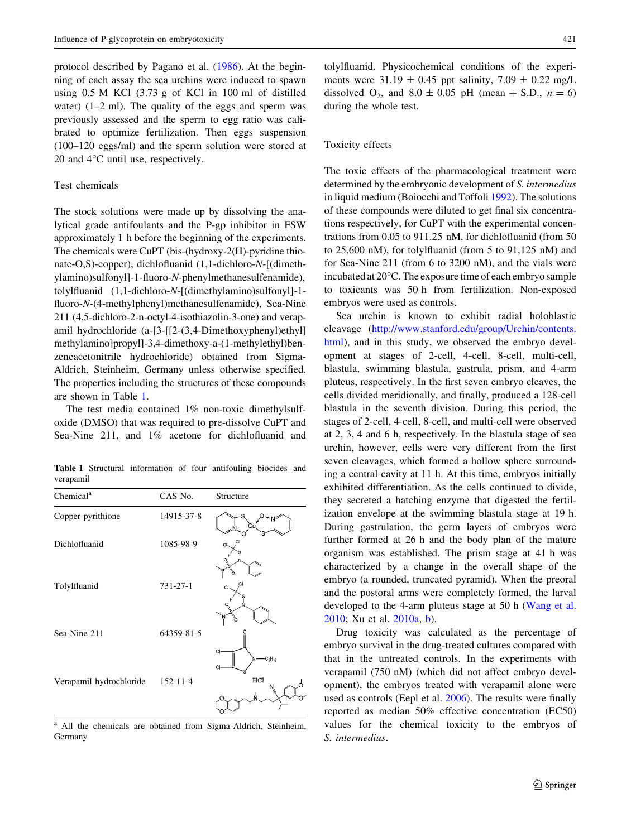protocol described by Pagano et al. ([1986\)](#page-9-0). At the beginning of each assay the sea urchins were induced to spawn using 0.5 M KCl (3.73 g of KCl in 100 ml of distilled water)  $(1-2$  ml). The quality of the eggs and sperm was previously assessed and the sperm to egg ratio was calibrated to optimize fertilization. Then eggs suspension (100–120 eggs/ml) and the sperm solution were stored at 20 and  $4^{\circ}$ C until use, respectively.

## Test chemicals

The stock solutions were made up by dissolving the analytical grade antifoulants and the P-gp inhibitor in FSW approximately 1 h before the beginning of the experiments. The chemicals were CuPT (bis-(hydroxy-2(H)-pyridine thionate-O,S)-copper), dichlofluanid (1,1-dichloro-N-[(dimethylamino)sulfonyl]-1-fluoro-N-phenylmethanesulfenamide), tolylfluanid (1,1-dichloro-N-[(dimethylamino)sulfonyl]-1 fluoro-N-(4-methylphenyl)methanesulfenamide), Sea-Nine 211 (4,5-dichloro-2-n-octyl-4-isothiazolin-3-one) and verapamil hydrochloride (a-[3-[[2-(3,4-Dimethoxyphenyl)ethyl] methylamino]propyl]-3,4-dimethoxy-a-(1-methylethyl)benzeneacetonitrile hydrochloride) obtained from Sigma-Aldrich, Steinheim, Germany unless otherwise specified. The properties including the structures of these compounds are shown in Table 1.

The test media contained 1% non-toxic dimethylsulfoxide (DMSO) that was required to pre-dissolve CuPT and Sea-Nine 211, and 1% acetone for dichlofluanid and

Table 1 Structural information of four antifouling biocides and verapamil

| Chemical <sup>a</sup>   | CAS No.        | Structure            |
|-------------------------|----------------|----------------------|
| Copper pyrithione       | 14915-37-8     |                      |
| Dichlofluanid           | 1085-98-9      | CI.                  |
| Tolylfluanid            | $731 - 27 - 1$ | СI<br>CI             |
| Sea-Nine 211            | 64359-81-5     | Cŀ<br>$-c0H17$<br>CI |
| Verapamil hydrochloride | $152 - 11 - 4$ | HCI<br>Ν             |

All the chemicals are obtained from Sigma-Aldrich, Steinheim, Germany

tolylfluanid. Physicochemical conditions of the experiments were  $31.19 \pm 0.45$  ppt salinity,  $7.09 \pm 0.22$  mg/L dissolved  $O_2$ , and  $8.0 \pm 0.05$  pH (mean + S.D.,  $n = 6$ ) during the whole test.

## Toxicity effects

The toxic effects of the pharmacological treatment were determined by the embryonic development of S. intermedius in liquid medium (Boiocchi and Toffoli [1992](#page-8-0)). The solutions of these compounds were diluted to get final six concentrations respectively, for CuPT with the experimental concentrations from 0.05 to 911.25 nM, for dichlofluanid (from 50 to 25,600 nM), for tolylfluanid (from 5 to 91,125 nM) and for Sea-Nine 211 (from 6 to 3200 nM), and the vials were incubated at  $20^{\circ}$ C. The exposure time of each embryo sample to toxicants was 50 h from fertilization. Non-exposed embryos were used as controls.

Sea urchin is known to exhibit radial holoblastic cleavage [\(http://www.stanford.edu/group/Urchin/contents.](http://www.stanford.edu/group/Urchin/contents.html) [html\)](http://www.stanford.edu/group/Urchin/contents.html), and in this study, we observed the embryo development at stages of 2-cell, 4-cell, 8-cell, multi-cell, blastula, swimming blastula, gastrula, prism, and 4-arm pluteus, respectively. In the first seven embryo cleaves, the cells divided meridionally, and finally, produced a 128-cell blastula in the seventh division. During this period, the stages of 2-cell, 4-cell, 8-cell, and multi-cell were observed at 2, 3, 4 and 6 h, respectively. In the blastula stage of sea urchin, however, cells were very different from the first seven cleavages, which formed a hollow sphere surrounding a central cavity at 11 h. At this time, embryos initially exhibited differentiation. As the cells continued to divide, they secreted a hatching enzyme that digested the fertilization envelope at the swimming blastula stage at 19 h. During gastrulation, the germ layers of embryos were further formed at 26 h and the body plan of the mature organism was established. The prism stage at 41 h was characterized by a change in the overall shape of the embryo (a rounded, truncated pyramid). When the preoral and the postoral arms were completely formed, the larval developed to the 4-arm pluteus stage at 50 h ([Wang et al.](#page-9-0) [2010](#page-9-0); Xu et al. [2010a,](#page-9-0) [b\)](#page-9-0).

Drug toxicity was calculated as the percentage of embryo survival in the drug-treated cultures compared with that in the untreated controls. In the experiments with verapamil (750 nM) (which did not affect embryo development), the embryos treated with verapamil alone were used as controls (Eepl et al. [2006\)](#page-8-0). The results were finally reported as median 50% effective concentration (EC50) values for the chemical toxicity to the embryos of S. intermedius.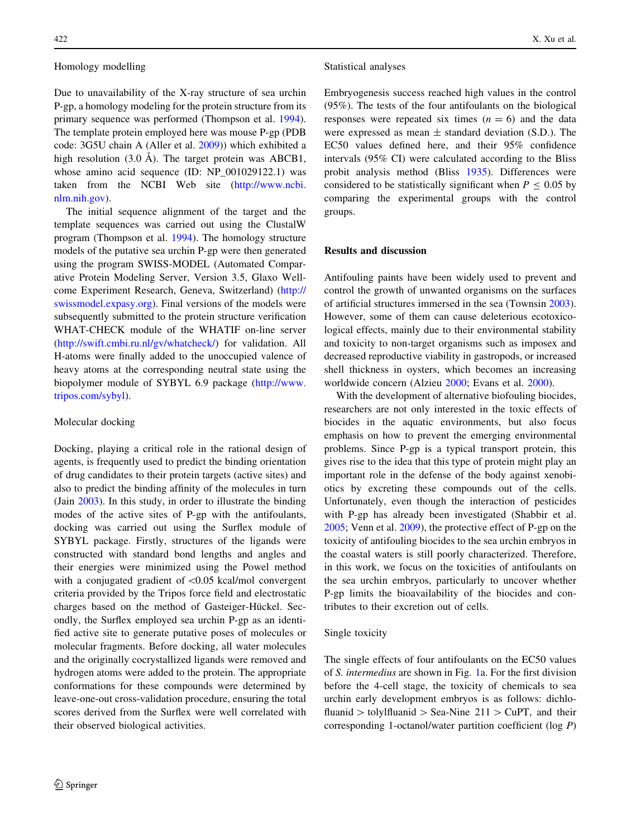## Homology modelling

Due to unavailability of the X-ray structure of sea urchin P-gp, a homology modeling for the protein structure from its primary sequence was performed (Thompson et al. [1994](#page-9-0)). The template protein employed here was mouse P-gp (PDB code: 3G5U chain A (Aller et al. [2009](#page-8-0))) which exhibited a high resolution  $(3.0 \text{ Å})$ . The target protein was ABCB1, whose amino acid sequence (ID: NP\_001029122.1) was taken from the NCBI Web site [\(http://www.ncbi.](http://www.ncbi.nlm.nih.gov) [nlm.nih.gov](http://www.ncbi.nlm.nih.gov)).

The initial sequence alignment of the target and the template sequences was carried out using the ClustalW program (Thompson et al. [1994\)](#page-9-0). The homology structure models of the putative sea urchin P-gp were then generated using the program SWISS-MODEL (Automated Comparative Protein Modeling Server, Version 3.5, Glaxo Wellcome Experiment Research, Geneva, Switzerland) [\(http://](http://swissmodel.expasy.org) [swissmodel.expasy.org\)](http://swissmodel.expasy.org). Final versions of the models were subsequently submitted to the protein structure verification WHAT-CHECK module of the WHATIF on-line server [\(http://swift.cmbi.ru.nl/gv/whatcheck/](http://swift.cmbi.ru.nl/gv/whatcheck/)) for validation. All H-atoms were finally added to the unoccupied valence of heavy atoms at the corresponding neutral state using the biopolymer module of SYBYL 6.9 package [\(http://www.](http://www.tripos.com/sybyl) [tripos.com/sybyl\)](http://www.tripos.com/sybyl).

#### Molecular docking

Docking, playing a critical role in the rational design of agents, is frequently used to predict the binding orientation of drug candidates to their protein targets (active sites) and also to predict the binding affinity of the molecules in turn (Jain [2003\)](#page-9-0). In this study, in order to illustrate the binding modes of the active sites of P-gp with the antifoulants, docking was carried out using the Surflex module of SYBYL package. Firstly, structures of the ligands were constructed with standard bond lengths and angles and their energies were minimized using the Powel method with a conjugated gradient of  $< 0.05$  kcal/mol convergent criteria provided by the Tripos force field and electrostatic charges based on the method of Gasteiger-Hückel. Secondly, the Surflex employed sea urchin P-gp as an identified active site to generate putative poses of molecules or molecular fragments. Before docking, all water molecules and the originally cocrystallized ligands were removed and hydrogen atoms were added to the protein. The appropriate conformations for these compounds were determined by leave-one-out cross-validation procedure, ensuring the total scores derived from the Surflex were well correlated with their observed biological activities.

## Statistical analyses

Embryogenesis success reached high values in the control (95%). The tests of the four antifoulants on the biological responses were repeated six times  $(n = 6)$  and the data were expressed as mean  $\pm$  standard deviation (S.D.). The EC50 values defined here, and their 95% confidence intervals (95% CI) were calculated according to the Bliss probit analysis method (Bliss [1935](#page-8-0)). Differences were considered to be statistically significant when  $P \le 0.05$  by comparing the experimental groups with the control groups.

## Results and discussion

Antifouling paints have been widely used to prevent and control the growth of unwanted organisms on the surfaces of artificial structures immersed in the sea (Townsin [2003](#page-9-0)). However, some of them can cause deleterious ecotoxicological effects, mainly due to their environmental stability and toxicity to non-target organisms such as imposex and decreased reproductive viability in gastropods, or increased shell thickness in oysters, which becomes an increasing worldwide concern (Alzieu [2000;](#page-8-0) Evans et al. [2000](#page-8-0)).

With the development of alternative biofouling biocides, researchers are not only interested in the toxic effects of biocides in the aquatic environments, but also focus emphasis on how to prevent the emerging environmental problems. Since P-gp is a typical transport protein, this gives rise to the idea that this type of protein might play an important role in the defense of the body against xenobiotics by excreting these compounds out of the cells. Unfortunately, even though the interaction of pesticides with P-gp has already been investigated (Shabbir et al. [2005](#page-9-0); Venn et al. [2009](#page-9-0)), the protective effect of P-gp on the toxicity of antifouling biocides to the sea urchin embryos in the coastal waters is still poorly characterized. Therefore, in this work, we focus on the toxicities of antifoulants on the sea urchin embryos, particularly to uncover whether P-gp limits the bioavailability of the biocides and contributes to their excretion out of cells.

## Single toxicity

The single effects of four antifoulants on the EC50 values of S. intermedius are shown in Fig. [1a](#page-4-0). For the first division before the 4-cell stage, the toxicity of chemicals to sea urchin early development embryos is as follows: dichlofluanid  $>$  tolylfluanid  $>$  Sea-Nine 211  $>$  CuPT, and their corresponding 1-octanol/water partition coefficient (log P)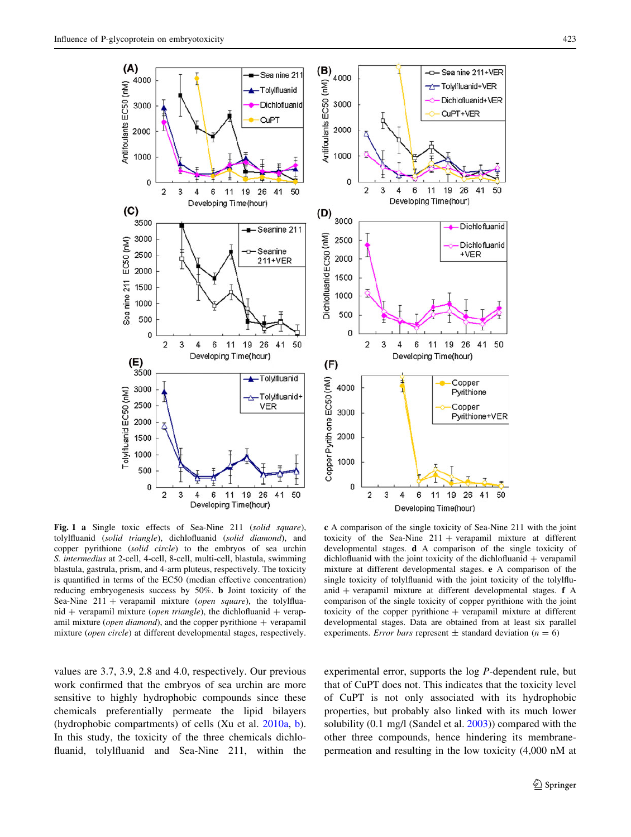<span id="page-4-0"></span>

Fig. 1 a Single toxic effects of Sea-Nine 211 (solid square), tolylfluanid (solid triangle), dichlofluanid (solid diamond), and copper pyrithione (solid circle) to the embryos of sea urchin S. intermedius at 2-cell, 4-cell, 8-cell, multi-cell, blastula, swimming blastula, gastrula, prism, and 4-arm pluteus, respectively. The toxicity is quantified in terms of the EC50 (median effective concentration) reducing embryogenesis success by 50%. b Joint toxicity of the Sea-Nine  $211 +$  verapamil mixture (open square), the tolylfluanid + verapamil mixture (open triangle), the dichlofluanid + verapamil mixture (*open diamond*), and the copper pyrithione  $+$  verapamil mixture (open circle) at different developmental stages, respectively.

c A comparison of the single toxicity of Sea-Nine 211 with the joint toxicity of the Sea-Nine  $211 + \text{verapamil mixture}$  at different developmental stages. d A comparison of the single toxicity of dichlofluanid with the joint toxicity of the dichlofluanid  $+$  verapamil mixture at different developmental stages. e A comparison of the single toxicity of tolylfluanid with the joint toxicity of the tolylfluanid  $+$  verapamil mixture at different developmental stages.  $f$  A comparison of the single toxicity of copper pyrithione with the joint toxicity of the copper pyrithione  $+$  verapamil mixture at different developmental stages. Data are obtained from at least six parallel experiments. *Error bars* represent  $\pm$  standard deviation ( $n = 6$ )

values are 3.7, 3.9, 2.8 and 4.0, respectively. Our previous work confirmed that the embryos of sea urchin are more sensitive to highly hydrophobic compounds since these chemicals preferentially permeate the lipid bilayers (hydrophobic compartments) of cells (Xu et al. [2010a](#page-9-0), [b](#page-9-0)). In this study, the toxicity of the three chemicals dichlofluanid, tolylfluanid and Sea-Nine 211, within the experimental error, supports the log P-dependent rule, but that of CuPT does not. This indicates that the toxicity level of CuPT is not only associated with its hydrophobic properties, but probably also linked with its much lower solubility (0.1 mg/l (Sandel et al. [2003\)](#page-9-0)) compared with the other three compounds, hence hindering its membranepermeation and resulting in the low toxicity (4,000 nM at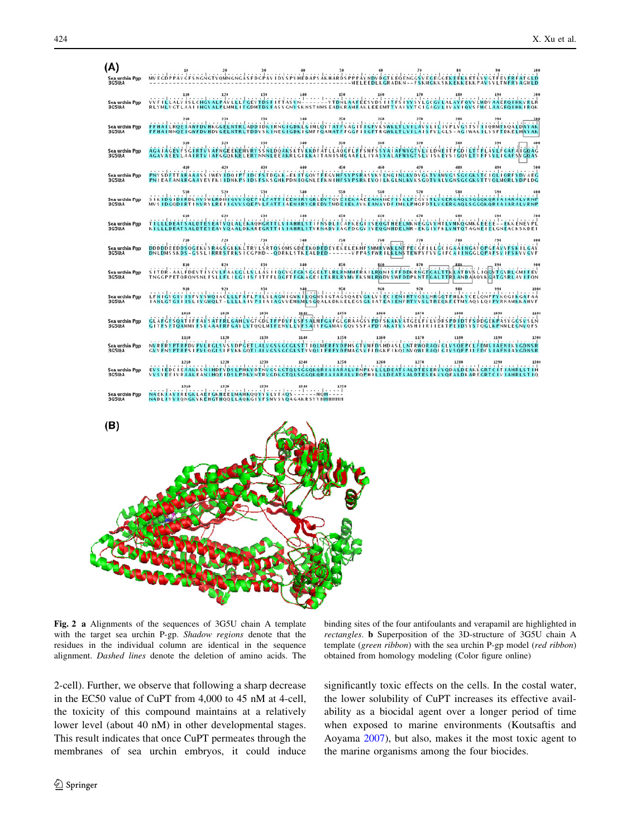<span id="page-5-0"></span> $(A)$ Sea urchin Pgp<br>3G5U:A Sea urch<br>3G5U:A OVHKGGELNTRLAPPICKIRNGIGDKLGINLOVTATEK Sea urchin Pg<br>3G5LEA AFNGEEL ATLLAND Sea urchin Pgp<br>3G5U:A Sea urchin Pgj<br>3G5U:A Sea urchin Pg<br>3G5U:A <u>stiensprichereditsedstheerne</u> Sea urchin Pgp<br>3G5U:A Sea urchin Pgp<br>3G5U:A LSRTOSONSGOEDKOOLOGIEKELEKHESMNRVWKLNT **DDDDDE I IQCV CFCKS RONISFFDDK** Sea urchin Pg<br>3G5U:A Sea urchin Pgj<br>3G5LEA Sea urchin Pgj<br>3G5U:A **GL**CF Sea urchin Pgp<br>3G5LEA KGTOLSGGOKOR IA IARALVRNPKVLLLDEATSALDTES ERVVODALDEAKKGRTCITIAHRI IIH Sea urchin Pg<br>3G5U:A Sea urchin Pgp<br>3G5LEA



Fig. 2 a Alignments of the sequences of 3G5U chain A template with the target sea urchin P-gp. Shadow regions denote that the residues in the individual column are identical in the sequence alignment. Dashed lines denote the deletion of amino acids. The

binding sites of the four antifoulants and verapamil are highlighted in rectangles. b Superposition of the 3D-structure of 3G5U chain A template (green ribbon) with the sea urchin P-gp model (red ribbon) obtained from homology modeling (Color figure online)

2-cell). Further, we observe that following a sharp decrease in the EC50 value of CuPT from 4,000 to 45 nM at 4-cell, the toxicity of this compound maintains at a relatively lower level (about 40 nM) in other developmental stages. This result indicates that once CuPT permeates through the membranes of sea urchin embryos, it could induce significantly toxic effects on the cells. In the costal water, the lower solubility of CuPT increases its effective availability as a biocidal agent over a longer period of time when exposed to marine environments (Koutsaftis and Aoyama [2007](#page-9-0)), but also, makes it the most toxic agent to the marine organisms among the four biocides.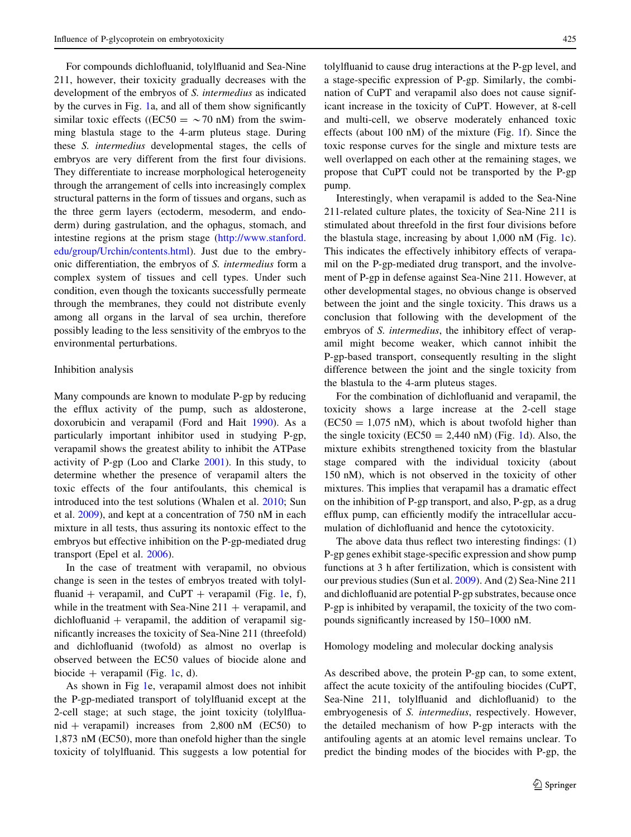For compounds dichlofluanid, tolylfluanid and Sea-Nine 211, however, their toxicity gradually decreases with the development of the embryos of S. intermedius as indicated by the curves in Fig. [1](#page-4-0)a, and all of them show significantly similar toxic effects ((EC50 =  $\sim$  70 nM) from the swimming blastula stage to the 4-arm pluteus stage. During these S. intermedius developmental stages, the cells of embryos are very different from the first four divisions. They differentiate to increase morphological heterogeneity through the arrangement of cells into increasingly complex structural patterns in the form of tissues and organs, such as the three germ layers (ectoderm, mesoderm, and endoderm) during gastrulation, and the ophagus, stomach, and intestine regions at the prism stage ([http://www.stanford.](http://www.stanford.edu/group/Urchin/contents.html) [edu/group/Urchin/contents.html](http://www.stanford.edu/group/Urchin/contents.html)). Just due to the embryonic differentiation, the embryos of S. intermedius form a complex system of tissues and cell types. Under such condition, even though the toxicants successfully permeate through the membranes, they could not distribute evenly among all organs in the larval of sea urchin, therefore possibly leading to the less sensitivity of the embryos to the environmental perturbations.

#### Inhibition analysis

Many compounds are known to modulate P-gp by reducing the efflux activity of the pump, such as aldosterone, doxorubicin and verapamil (Ford and Hait [1990\)](#page-8-0). As a particularly important inhibitor used in studying P-gp, verapamil shows the greatest ability to inhibit the ATPase activity of P-gp (Loo and Clarke [2001\)](#page-9-0). In this study, to determine whether the presence of verapamil alters the toxic effects of the four antifoulants, this chemical is introduced into the test solutions (Whalen et al. [2010;](#page-9-0) Sun et al. [2009\)](#page-9-0), and kept at a concentration of 750 nM in each mixture in all tests, thus assuring its nontoxic effect to the embryos but effective inhibition on the P-gp-mediated drug transport (Epel et al. [2006\)](#page-8-0).

In the case of treatment with verapamil, no obvious change is seen in the testes of embryos treated with tolylfluanid + verapamil, and  $CuPT$  + verapamil (Fig. [1e](#page-4-0), f), while in the treatment with Sea-Nine  $211 + \text{verapamil}$ , and  $dichlofluanid + verapamil, the addition of verapamil sig$ nificantly increases the toxicity of Sea-Nine 211 (threefold) and dichlofluanid (twofold) as almost no overlap is observed between the EC50 values of biocide alone and biocide + verapamil (Fig. [1c](#page-4-0), d).

As shown in Fig [1e](#page-4-0), verapamil almost does not inhibit the P-gp-mediated transport of tolylfluanid except at the 2-cell stage; at such stage, the joint toxicity (tolylfluanid + verapamil) increases from  $2,800$  nM (EC50) to 1,873 nM (EC50), more than onefold higher than the single toxicity of tolylfluanid. This suggests a low potential for tolylfluanid to cause drug interactions at the P-gp level, and a stage-specific expression of P-gp. Similarly, the combination of CuPT and verapamil also does not cause significant increase in the toxicity of CuPT. However, at 8-cell and multi-cell, we observe moderately enhanced toxic effects (about 100 nM) of the mixture (Fig. [1f](#page-4-0)). Since the toxic response curves for the single and mixture tests are well overlapped on each other at the remaining stages, we propose that CuPT could not be transported by the P-gp pump.

Interestingly, when verapamil is added to the Sea-Nine 211-related culture plates, the toxicity of Sea-Nine 211 is stimulated about threefold in the first four divisions before the blastula stage, increasing by about 1,000 nM (Fig. [1c](#page-4-0)). This indicates the effectively inhibitory effects of verapamil on the P-gp-mediated drug transport, and the involvement of P-gp in defense against Sea-Nine 211. However, at other developmental stages, no obvious change is observed between the joint and the single toxicity. This draws us a conclusion that following with the development of the embryos of S. intermedius, the inhibitory effect of verapamil might become weaker, which cannot inhibit the P-gp-based transport, consequently resulting in the slight difference between the joint and the single toxicity from the blastula to the 4-arm pluteus stages.

For the combination of dichlofluanid and verapamil, the toxicity shows a large increase at the 2-cell stage  $(EC50 = 1,075 \text{ nM})$ , which is about twofold higher than the single toxicity ( $EC50 = 2,440$  nM) (Fig. [1](#page-4-0)d). Also, the mixture exhibits strengthened toxicity from the blastular stage compared with the individual toxicity (about 150 nM), which is not observed in the toxicity of other mixtures. This implies that verapamil has a dramatic effect on the inhibition of P-gp transport, and also, P-gp, as a drug efflux pump, can efficiently modify the intracellular accumulation of dichlofluanid and hence the cytotoxicity.

The above data thus reflect two interesting findings: (1) P-gp genes exhibit stage-specific expression and show pump functions at 3 h after fertilization, which is consistent with our previous studies (Sun et al. [2009](#page-9-0)). And (2) Sea-Nine 211 and dichlofluanid are potential P-gp substrates, because once P-gp is inhibited by verapamil, the toxicity of the two compounds significantly increased by 150–1000 nM.

Homology modeling and molecular docking analysis

As described above, the protein P-gp can, to some extent, affect the acute toxicity of the antifouling biocides (CuPT, Sea-Nine 211, tolylfluanid and dichlofluanid) to the embryogenesis of S. intermedius, respectively. However, the detailed mechanism of how P-gp interacts with the antifouling agents at an atomic level remains unclear. To predict the binding modes of the biocides with P-gp, the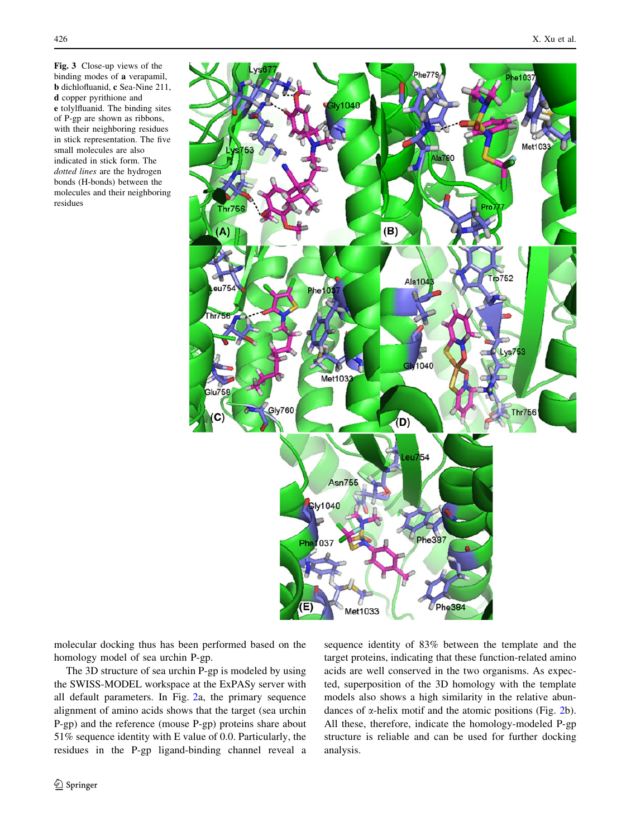<span id="page-7-0"></span>Fig. 3 Close-up views of the binding modes of a verapamil, b dichlofluanid, c Sea-Nine 211, d copper pyrithione and e tolylfluanid. The binding sites of P-gp are shown as ribbons, with their neighboring residues in stick representation. The five small molecules are also indicated in stick form. The dotted lines are the hydrogen bonds (H-bonds) between the molecules and their neighboring residues



molecular docking thus has been performed based on the homology model of sea urchin P-gp.

The 3D structure of sea urchin P-gp is modeled by using the SWISS-MODEL workspace at the ExPASy server with all default parameters. In Fig. [2](#page-5-0)a, the primary sequence alignment of amino acids shows that the target (sea urchin P-gp) and the reference (mouse P-gp) proteins share about 51% sequence identity with E value of 0.0. Particularly, the residues in the P-gp ligand-binding channel reveal a sequence identity of 83% between the template and the target proteins, indicating that these function-related amino acids are well conserved in the two organisms. As expected, superposition of the 3D homology with the template models also shows a high similarity in the relative abundances of  $\alpha$ -helix motif and the atomic positions (Fig. [2](#page-5-0)b). All these, therefore, indicate the homology-modeled P-gp structure is reliable and can be used for further docking analysis.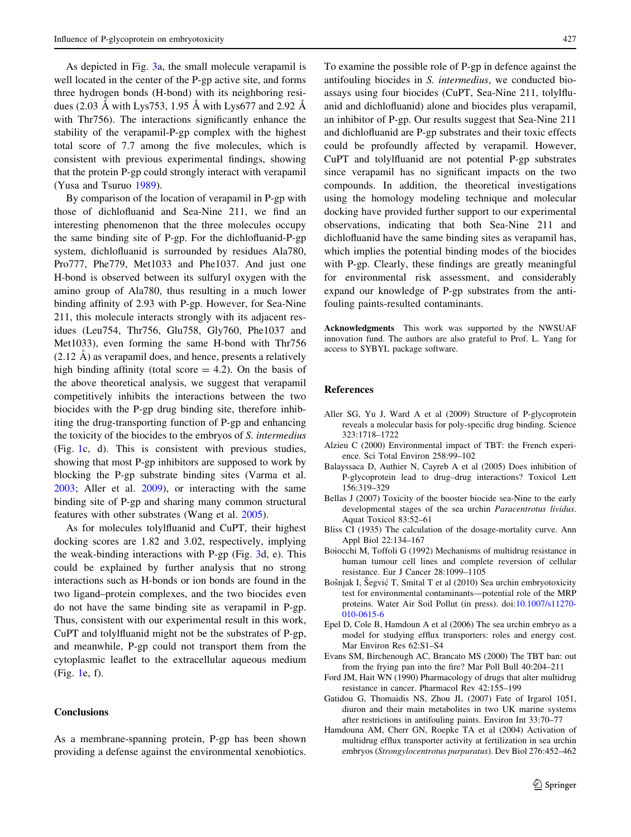<span id="page-8-0"></span>As depicted in Fig. [3a](#page-7-0), the small molecule verapamil is well located in the center of the P-gp active site, and forms three hydrogen bonds (H-bond) with its neighboring residues (2.03 Å with Lys753, 1.95 Å with Lys677 and 2.92 Å with Thr<sub>756</sub>). The interactions significantly enhance the stability of the verapamil-P-gp complex with the highest total score of 7.7 among the five molecules, which is consistent with previous experimental findings, showing that the protein P-gp could strongly interact with verapamil (Yusa and Tsuruo [1989\)](#page-9-0).

By comparison of the location of verapamil in P-gp with those of dichlofluanid and Sea-Nine 211, we find an interesting phenomenon that the three molecules occupy the same binding site of P-gp. For the dichlofluanid-P-gp system, dichlofluanid is surrounded by residues Ala780, Pro777, Phe779, Met1033 and Phe1037. And just one H-bond is observed between its sulfuryl oxygen with the amino group of Ala780, thus resulting in a much lower binding affinity of 2.93 with P-gp. However, for Sea-Nine 211, this molecule interacts strongly with its adjacent residues (Leu754, Thr756, Glu758, Gly760, Phe1037 and Met1033), even forming the same H-bond with Thr756  $(2.12 \text{ Å})$  as verapamil does, and hence, presents a relatively high binding affinity (total score  $= 4.2$ ). On the basis of the above theoretical analysis, we suggest that verapamil competitively inhibits the interactions between the two biocides with the P-gp drug binding site, therefore inhibiting the drug-transporting function of P-gp and enhancing the toxicity of the biocides to the embryos of S. intermedius (Fig. [1](#page-4-0)c, d). This is consistent with previous studies, showing that most P-gp inhibitors are supposed to work by blocking the P-gp substrate binding sites (Varma et al. [2003;](#page-9-0) Aller et al. 2009), or interacting with the same binding site of P-gp and sharing many common structural features with other substrates (Wang et al. [2005](#page-9-0)).

As for molecules tolylfluanid and CuPT, their highest docking scores are 1.82 and 3.02, respectively, implying the weak-binding interactions with P-gp (Fig. [3d](#page-7-0), e). This could be explained by further analysis that no strong interactions such as H-bonds or ion bonds are found in the two ligand–protein complexes, and the two biocides even do not have the same binding site as verapamil in P-gp. Thus, consistent with our experimental result in this work, CuPT and tolylfluanid might not be the substrates of P-gp, and meanwhile, P-gp could not transport them from the cytoplasmic leaflet to the extracellular aqueous medium (Fig. [1](#page-4-0)e, f).

## **Conclusions**

As a membrane-spanning protein, P-gp has been shown providing a defense against the environmental xenobiotics.

To examine the possible role of P-gp in defence against the antifouling biocides in S. intermedius, we conducted bioassays using four biocides (CuPT, Sea-Nine 211, tolylfluanid and dichlofluanid) alone and biocides plus verapamil, an inhibitor of P-gp. Our results suggest that Sea-Nine 211 and dichlofluanid are P-gp substrates and their toxic effects could be profoundly affected by verapamil. However, CuPT and tolylfluanid are not potential P-gp substrates since verapamil has no significant impacts on the two compounds. In addition, the theoretical investigations using the homology modeling technique and molecular docking have provided further support to our experimental observations, indicating that both Sea-Nine 211 and dichlofluanid have the same binding sites as verapamil has, which implies the potential binding modes of the biocides with P-gp. Clearly, these findings are greatly meaningful for environmental risk assessment, and considerably expand our knowledge of P-gp substrates from the antifouling paints-resulted contaminants.

Acknowledgments This work was supported by the NWSUAF innovation fund. The authors are also grateful to Prof. L. Yang for access to SYBYL package software.

#### References

- Aller SG, Yu J, Ward A et al (2009) Structure of P-glycoprotein reveals a molecular basis for poly-specific drug binding. Science 323:1718–1722
- Alzieu C (2000) Environmental impact of TBT: the French experience. Sci Total Environ 258:99–102
- Balayssaca D, Authier N, Cayreb A et al (2005) Does inhibition of P-glycoprotein lead to drug–drug interactions? Toxicol Lett 156:319–329
- Bellas J (2007) Toxicity of the booster biocide sea-Nine to the early developmental stages of the sea urchin Paracentrotus lividus. Aquat Toxicol 83:52–61
- Bliss CI (1935) The calculation of the dosage-mortality curve. Ann Appl Biol 22:134–167
- Boiocchi M, Toffoli G (1992) Mechanisms of multidrug resistance in human tumour cell lines and complete reversion of cellular resistance. Eur J Cancer 28:1099–1105
- Bošnjak I, Šegvić T, Smital T et al (2010) Sea urchin embryotoxicity test for environmental contaminants—potential role of the MRP proteins. Water Air Soil Pollut (in press). doi[:10.1007/s11270-](http://dx.doi.org/10.1007/s11270-010-0615-6) [010-0615-6](http://dx.doi.org/10.1007/s11270-010-0615-6)
- Epel D, Cole B, Hamdoun A et al (2006) The sea urchin embryo as a model for studying efflux transporters: roles and energy cost. Mar Environ Res 62:S1–S4
- Evans SM, Birchenough AC, Brancato MS (2000) The TBT ban: out from the frying pan into the fire? Mar Poll Bull 40:204–211
- Ford JM, Hait WN (1990) Pharmacology of drugs that alter multidrug resistance in cancer. Pharmacol Rev 42:155–199
- Gatidou G, Thomaidis NS, Zhou JL (2007) Fate of Irgarol 1051, diuron and their main metabolites in two UK marine systems after restrictions in antifouling paints. Environ Int 33:70–77
- Hamdouna AM, Cherr GN, Roepke TA et al (2004) Activation of multidrug efflux transporter activity at fertilization in sea urchin embryos (Strongylocentrotus purpuratus). Dev Biol 276:452–462